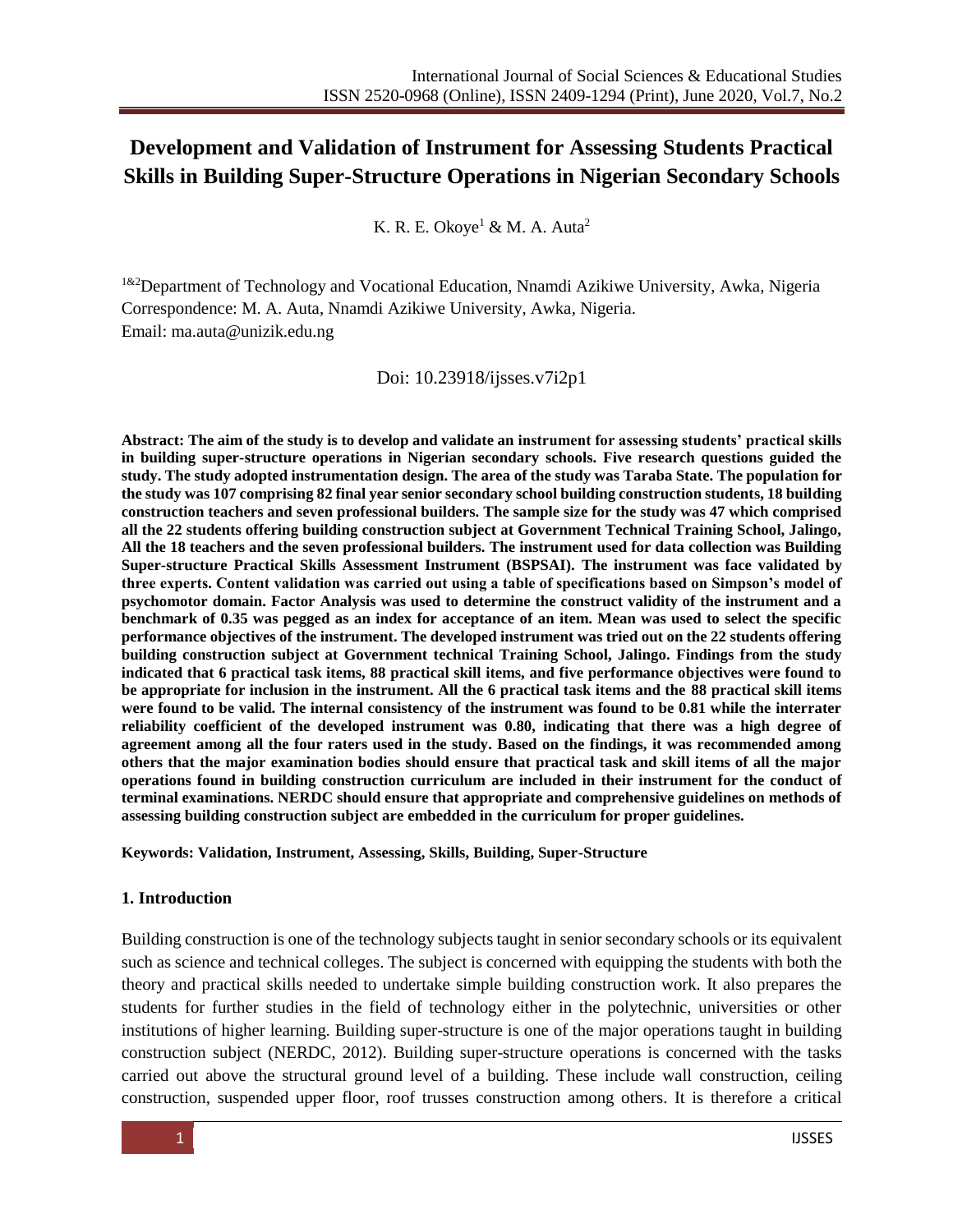# **Development and Validation of Instrument for Assessing Students Practical Skills in Building Super-Structure Operations in Nigerian Secondary Schools**

K. R. E. Okoye<sup>1</sup> & M. A. Auta<sup>2</sup>

<sup>1&2</sup>Department of Technology and Vocational Education, Nnamdi Azikiwe University, Awka, Nigeria Correspondence: M. A. Auta, Nnamdi Azikiwe University, Awka, Nigeria. Email: [ma.auta@unizik.edu.ng](mailto:ma.auta@unizik.edu.ng)

#### Doi: 10.23918/ijsses.v7i2p1

**Abstract: The aim of the study is to develop and validate an instrument for assessing students' practical skills in building super-structure operations in Nigerian secondary schools. Five research questions guided the study. The study adopted instrumentation design. The area of the study was Taraba State. The population for the study was 107 comprising 82 final year senior secondary school building construction students, 18 building construction teachers and seven professional builders. The sample size for the study was 47 which comprised all the 22 students offering building construction subject at Government Technical Training School, Jalingo, All the 18 teachers and the seven professional builders. The instrument used for data collection was Building Super-structure Practical Skills Assessment Instrument (BSPSAI). The instrument was face validated by three experts. Content validation was carried out using a table of specifications based on Simpson's model of psychomotor domain. Factor Analysis was used to determine the construct validity of the instrument and a benchmark of 0.35 was pegged as an index for acceptance of an item. Mean was used to select the specific performance objectives of the instrument. The developed instrument was tried out on the 22 students offering building construction subject at Government technical Training School, Jalingo. Findings from the study indicated that 6 practical task items, 88 practical skill items, and five performance objectives were found to be appropriate for inclusion in the instrument. All the 6 practical task items and the 88 practical skill items were found to be valid. The internal consistency of the instrument was found to be 0.81 while the interrater reliability coefficient of the developed instrument was 0.80, indicating that there was a high degree of agreement among all the four raters used in the study. Based on the findings, it was recommended among others that the major examination bodies should ensure that practical task and skill items of all the major operations found in building construction curriculum are included in their instrument for the conduct of terminal examinations. NERDC should ensure that appropriate and comprehensive guidelines on methods of assessing building construction subject are embedded in the curriculum for proper guidelines.**

**Keywords: Validation, Instrument, Assessing, Skills, Building, Super-Structure**

## **1. Introduction**

Building construction is one of the technology subjects taught in senior secondary schools or its equivalent such as science and technical colleges. The subject is concerned with equipping the students with both the theory and practical skills needed to undertake simple building construction work. It also prepares the students for further studies in the field of technology either in the polytechnic, universities or other institutions of higher learning. Building super-structure is one of the major operations taught in building construction subject (NERDC, 2012). Building super-structure operations is concerned with the tasks carried out above the structural ground level of a building. These include wall construction, ceiling construction, suspended upper floor, roof trusses construction among others. It is therefore a critical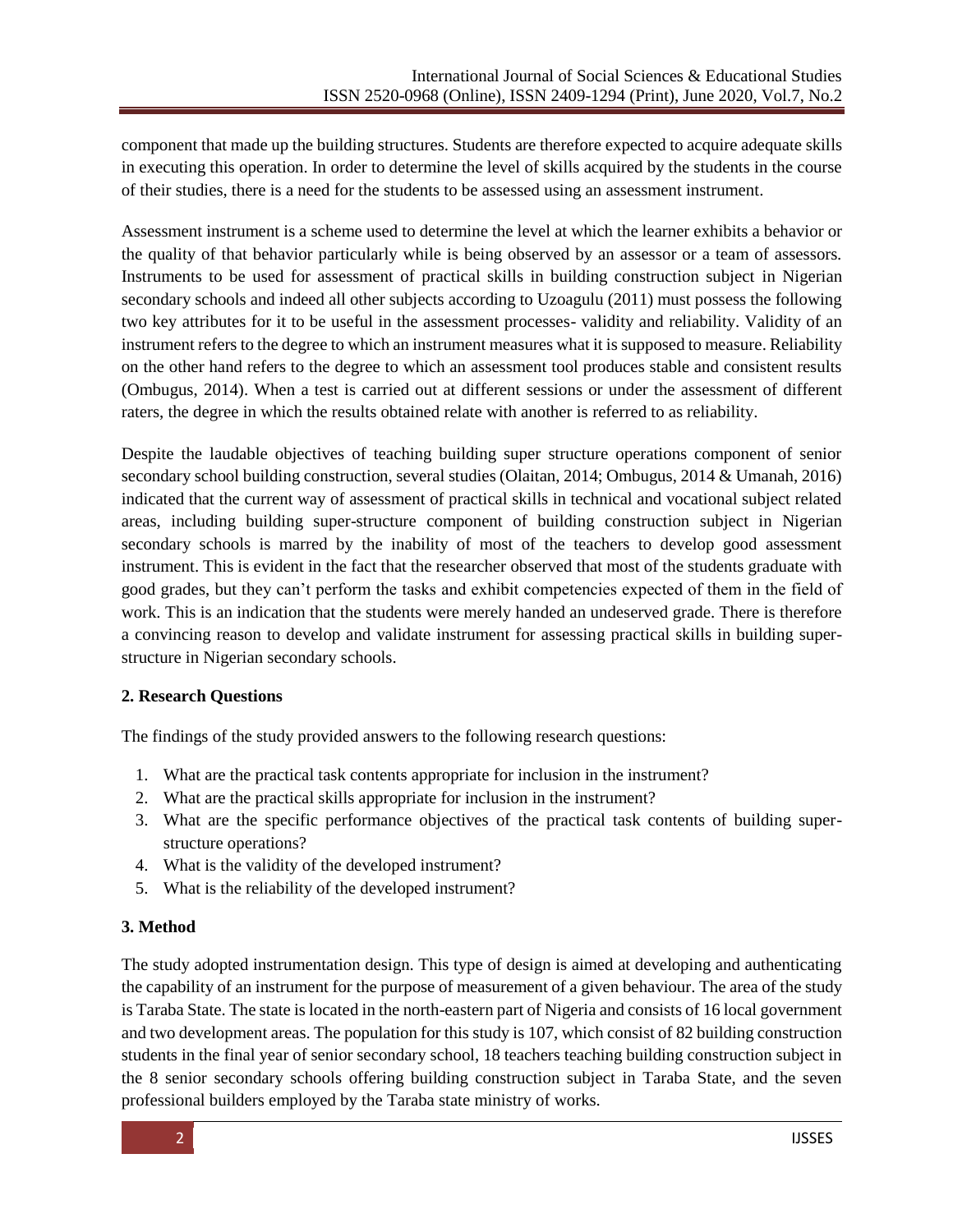component that made up the building structures. Students are therefore expected to acquire adequate skills in executing this operation. In order to determine the level of skills acquired by the students in the course of their studies, there is a need for the students to be assessed using an assessment instrument.

Assessment instrument is a scheme used to determine the level at which the learner exhibits a behavior or the quality of that behavior particularly while is being observed by an assessor or a team of assessors. Instruments to be used for assessment of practical skills in building construction subject in Nigerian secondary schools and indeed all other subjects according to Uzoagulu (2011) must possess the following two key attributes for it to be useful in the assessment processes- validity and reliability. Validity of an instrument refers to the degree to which an instrument measures what it is supposed to measure. Reliability on the other hand refers to the degree to which an assessment tool produces stable and consistent results (Ombugus, 2014). When a test is carried out at different sessions or under the assessment of different raters, the degree in which the results obtained relate with another is referred to as reliability.

Despite the laudable objectives of teaching building super structure operations component of senior secondary school building construction, several studies (Olaitan, 2014; Ombugus, 2014 & Umanah, 2016) indicated that the current way of assessment of practical skills in technical and vocational subject related areas, including building super-structure component of building construction subject in Nigerian secondary schools is marred by the inability of most of the teachers to develop good assessment instrument. This is evident in the fact that the researcher observed that most of the students graduate with good grades, but they can't perform the tasks and exhibit competencies expected of them in the field of work. This is an indication that the students were merely handed an undeserved grade. There is therefore a convincing reason to develop and validate instrument for assessing practical skills in building superstructure in Nigerian secondary schools.

# **2. Research Questions**

The findings of the study provided answers to the following research questions:

- 1. What are the practical task contents appropriate for inclusion in the instrument?
- 2. What are the practical skills appropriate for inclusion in the instrument?
- 3. What are the specific performance objectives of the practical task contents of building superstructure operations?
- 4. What is the validity of the developed instrument?
- 5. What is the reliability of the developed instrument?

#### **3. Method**

The study adopted instrumentation design. This type of design is aimed at developing and authenticating the capability of an instrument for the purpose of measurement of a given behaviour. The area of the study is Taraba State. The state is located in the north-eastern part of Nigeria and consists of 16 local government and two development areas. The population for this study is 107, which consist of 82 building construction students in the final year of senior secondary school, 18 teachers teaching building construction subject in the 8 senior secondary schools offering building construction subject in Taraba State, and the seven professional builders employed by the Taraba state ministry of works.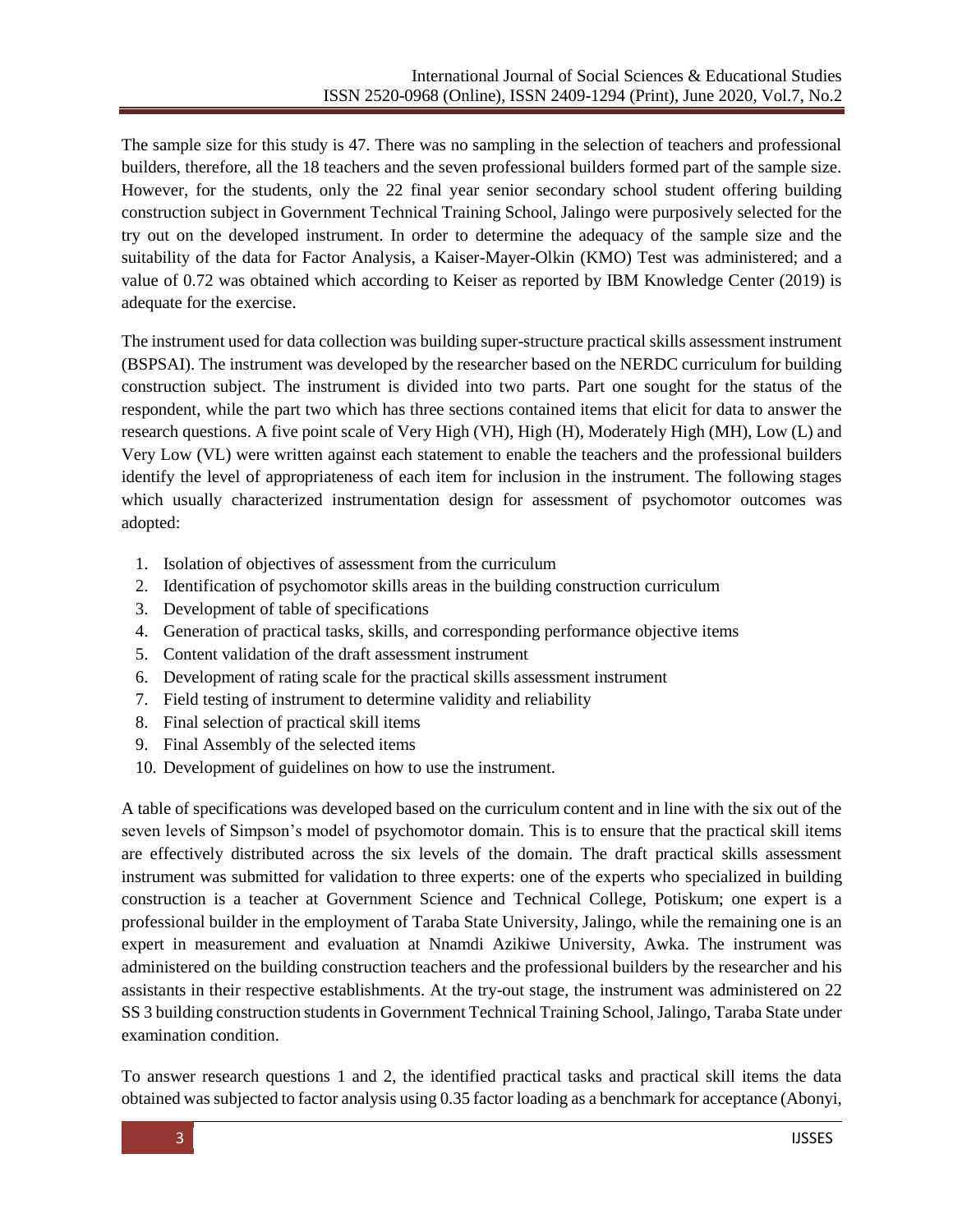The sample size for this study is 47. There was no sampling in the selection of teachers and professional builders, therefore, all the 18 teachers and the seven professional builders formed part of the sample size. However, for the students, only the 22 final year senior secondary school student offering building construction subject in Government Technical Training School, Jalingo were purposively selected for the try out on the developed instrument. In order to determine the adequacy of the sample size and the suitability of the data for Factor Analysis, a Kaiser-Mayer-Olkin (KMO) Test was administered; and a value of 0.72 was obtained which according to Keiser as reported by IBM Knowledge Center (2019) is adequate for the exercise.

The instrument used for data collection was building super-structure practical skills assessment instrument (BSPSAI). The instrument was developed by the researcher based on the NERDC curriculum for building construction subject. The instrument is divided into two parts. Part one sought for the status of the respondent, while the part two which has three sections contained items that elicit for data to answer the research questions. A five point scale of Very High (VH), High (H), Moderately High (MH), Low (L) and Very Low (VL) were written against each statement to enable the teachers and the professional builders identify the level of appropriateness of each item for inclusion in the instrument. The following stages which usually characterized instrumentation design for assessment of psychomotor outcomes was adopted:

- 1. Isolation of objectives of assessment from the curriculum
- 2. Identification of psychomotor skills areas in the building construction curriculum
- 3. Development of table of specifications
- 4. Generation of practical tasks, skills, and corresponding performance objective items
- 5. Content validation of the draft assessment instrument
- 6. Development of rating scale for the practical skills assessment instrument
- 7. Field testing of instrument to determine validity and reliability
- 8. Final selection of practical skill items
- 9. Final Assembly of the selected items
- 10. Development of guidelines on how to use the instrument.

A table of specifications was developed based on the curriculum content and in line with the six out of the seven levels of Simpson's model of psychomotor domain. This is to ensure that the practical skill items are effectively distributed across the six levels of the domain. The draft practical skills assessment instrument was submitted for validation to three experts: one of the experts who specialized in building construction is a teacher at Government Science and Technical College, Potiskum; one expert is a professional builder in the employment of Taraba State University, Jalingo, while the remaining one is an expert in measurement and evaluation at Nnamdi Azikiwe University, Awka. The instrument was administered on the building construction teachers and the professional builders by the researcher and his assistants in their respective establishments. At the try-out stage, the instrument was administered on 22 SS 3 building construction students in Government Technical Training School, Jalingo, Taraba State under examination condition.

To answer research questions 1 and 2, the identified practical tasks and practical skill items the data obtained was subjected to factor analysis using 0.35 factor loading as a benchmark for acceptance (Abonyi,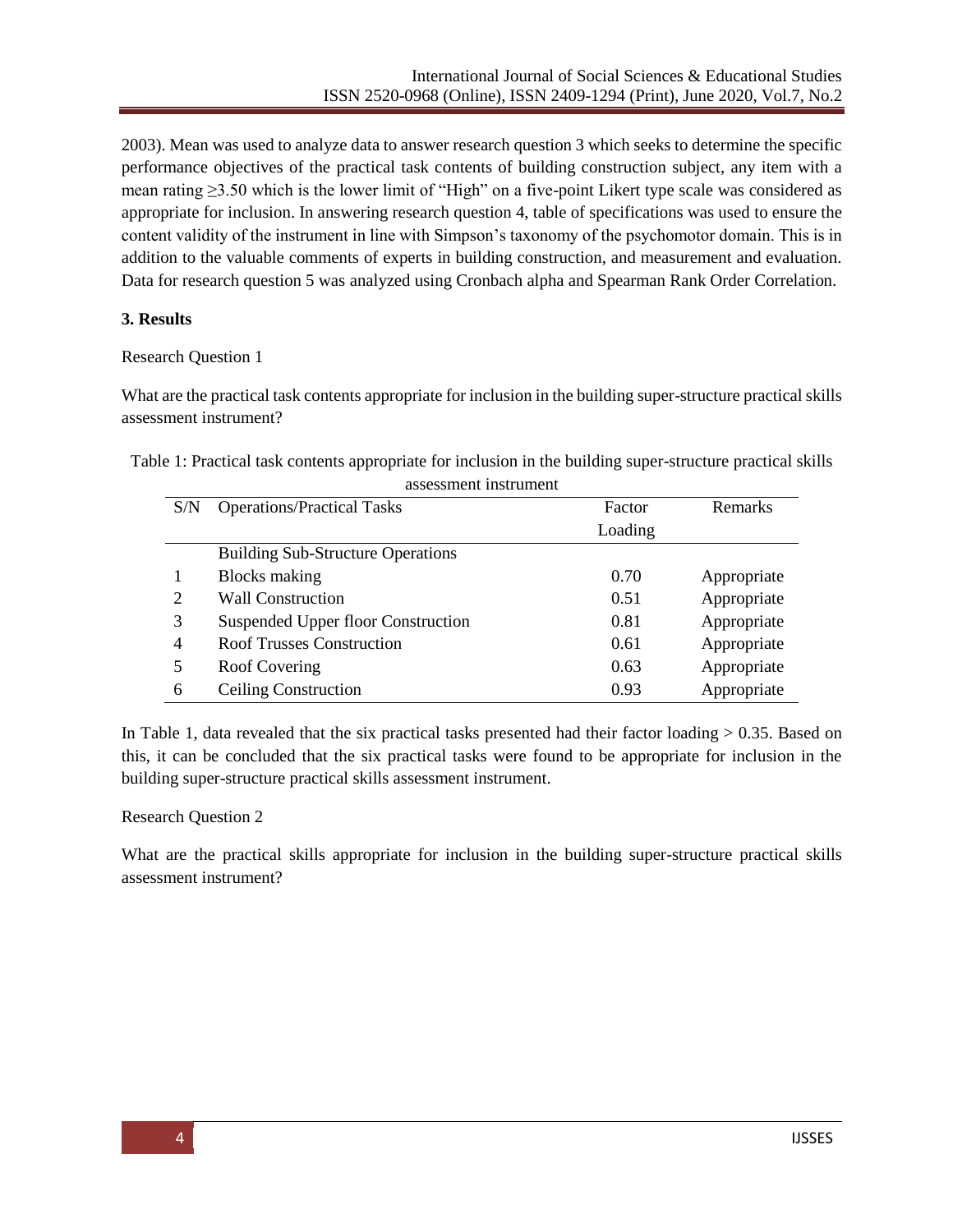2003). Mean was used to analyze data to answer research question 3 which seeks to determine the specific performance objectives of the practical task contents of building construction subject, any item with a mean rating  $\geq$ 3.50 which is the lower limit of "High" on a five-point Likert type scale was considered as appropriate for inclusion. In answering research question 4, table of specifications was used to ensure the content validity of the instrument in line with Simpson's taxonomy of the psychomotor domain. This is in addition to the valuable comments of experts in building construction, and measurement and evaluation. Data for research question 5 was analyzed using Cronbach alpha and Spearman Rank Order Correlation.

## **3. Results**

#### Research Question 1

What are the practical task contents appropriate for inclusion in the building super-structure practical skills assessment instrument?

Table 1: Practical task contents appropriate for inclusion in the building super-structure practical skills assessment instrument

| <b>Operations/Practical Tasks</b>        | Factor  | Remarks     |
|------------------------------------------|---------|-------------|
|                                          |         |             |
|                                          | Loading |             |
| <b>Building Sub-Structure Operations</b> |         |             |
| <b>Blocks</b> making                     | 0.70    | Appropriate |
| <b>Wall Construction</b>                 | 0.51    | Appropriate |
| Suspended Upper floor Construction       | 0.81    | Appropriate |
| <b>Roof Trusses Construction</b>         | 0.61    | Appropriate |
| Roof Covering                            | 0.63    | Appropriate |
| <b>Ceiling Construction</b>              | 0.93    | Appropriate |
|                                          |         |             |

In Table 1, data revealed that the six practical tasks presented had their factor loading  $> 0.35$ . Based on this, it can be concluded that the six practical tasks were found to be appropriate for inclusion in the building super-structure practical skills assessment instrument.

#### Research Question 2

What are the practical skills appropriate for inclusion in the building super-structure practical skills assessment instrument?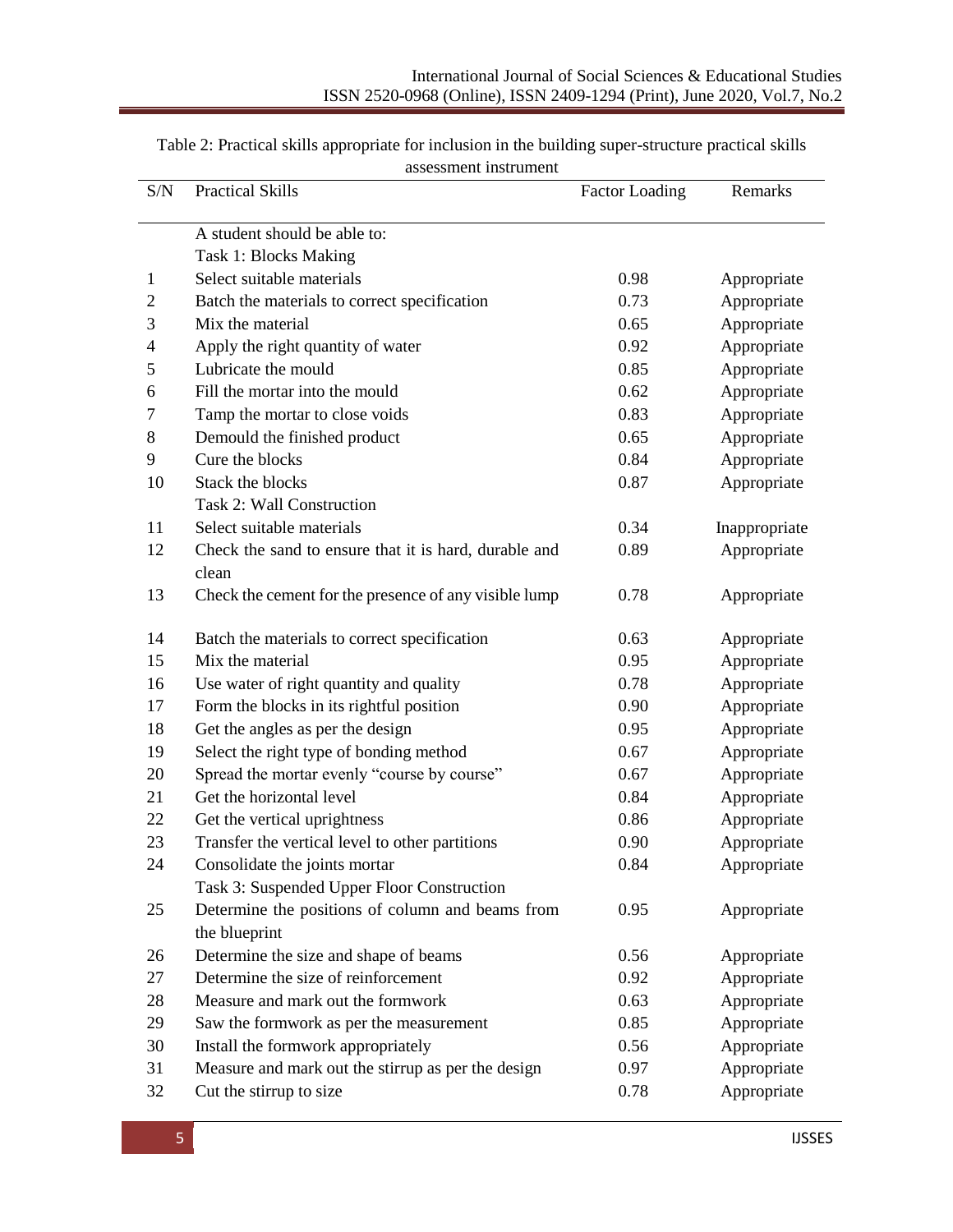| S/N            | <b>Practical Skills</b>                               | <b>Factor Loading</b> | Remarks       |
|----------------|-------------------------------------------------------|-----------------------|---------------|
|                |                                                       |                       |               |
|                | A student should be able to:                          |                       |               |
|                | Task 1: Blocks Making                                 |                       |               |
| 1              | Select suitable materials                             | 0.98                  | Appropriate   |
| $\overline{2}$ | Batch the materials to correct specification          | 0.73                  | Appropriate   |
| 3              | Mix the material                                      | 0.65                  | Appropriate   |
| $\overline{4}$ | Apply the right quantity of water                     | 0.92                  | Appropriate   |
| 5              | Lubricate the mould                                   | 0.85                  | Appropriate   |
| 6              | Fill the mortar into the mould                        | 0.62                  | Appropriate   |
| 7              | Tamp the mortar to close voids                        | 0.83                  | Appropriate   |
| 8              | Demould the finished product                          | 0.65                  | Appropriate   |
| 9              | Cure the blocks                                       | 0.84                  | Appropriate   |
| 10             | Stack the blocks                                      | 0.87                  | Appropriate   |
|                | <b>Task 2: Wall Construction</b>                      |                       |               |
| 11             | Select suitable materials                             | 0.34                  | Inappropriate |
| 12             | Check the sand to ensure that it is hard, durable and | 0.89                  | Appropriate   |
|                | clean                                                 |                       |               |
| 13             | Check the cement for the presence of any visible lump | 0.78                  | Appropriate   |
|                |                                                       |                       |               |
| 14             | Batch the materials to correct specification          | 0.63                  | Appropriate   |
| 15             | Mix the material                                      | 0.95                  | Appropriate   |
| 16             | Use water of right quantity and quality               | 0.78                  | Appropriate   |
| 17             | Form the blocks in its rightful position              | 0.90                  | Appropriate   |
| 18             | Get the angles as per the design                      | 0.95                  | Appropriate   |
| 19             | Select the right type of bonding method               | 0.67                  | Appropriate   |
| 20             | Spread the mortar evenly "course by course"           | 0.67                  | Appropriate   |
| 21             | Get the horizontal level                              | 0.84                  | Appropriate   |
| 22             | Get the vertical uprightness                          | 0.86                  | Appropriate   |
| 23             | Transfer the vertical level to other partitions       | 0.90                  | Appropriate   |
| 24             | Consolidate the joints mortar                         | 0.84                  | Appropriate   |
|                | Task 3: Suspended Upper Floor Construction            |                       |               |
| 25             | Determine the positions of column and beams from      | 0.95                  | Appropriate   |
|                | the blueprint                                         |                       |               |
| 26             | Determine the size and shape of beams                 | 0.56                  | Appropriate   |
| 27             | Determine the size of reinforcement                   | 0.92                  | Appropriate   |
| 28             | Measure and mark out the formwork                     | 0.63                  | Appropriate   |
| 29             | Saw the formwork as per the measurement               | 0.85                  | Appropriate   |
| 30             | Install the formwork appropriately                    | 0.56                  | Appropriate   |
| 31             | Measure and mark out the stirrup as per the design    | 0.97                  | Appropriate   |
| 32             | Cut the stirrup to size                               | 0.78                  | Appropriate   |

| Table 2: Practical skills appropriate for inclusion in the building super-structure practical skills |
|------------------------------------------------------------------------------------------------------|
| assessment instrument                                                                                |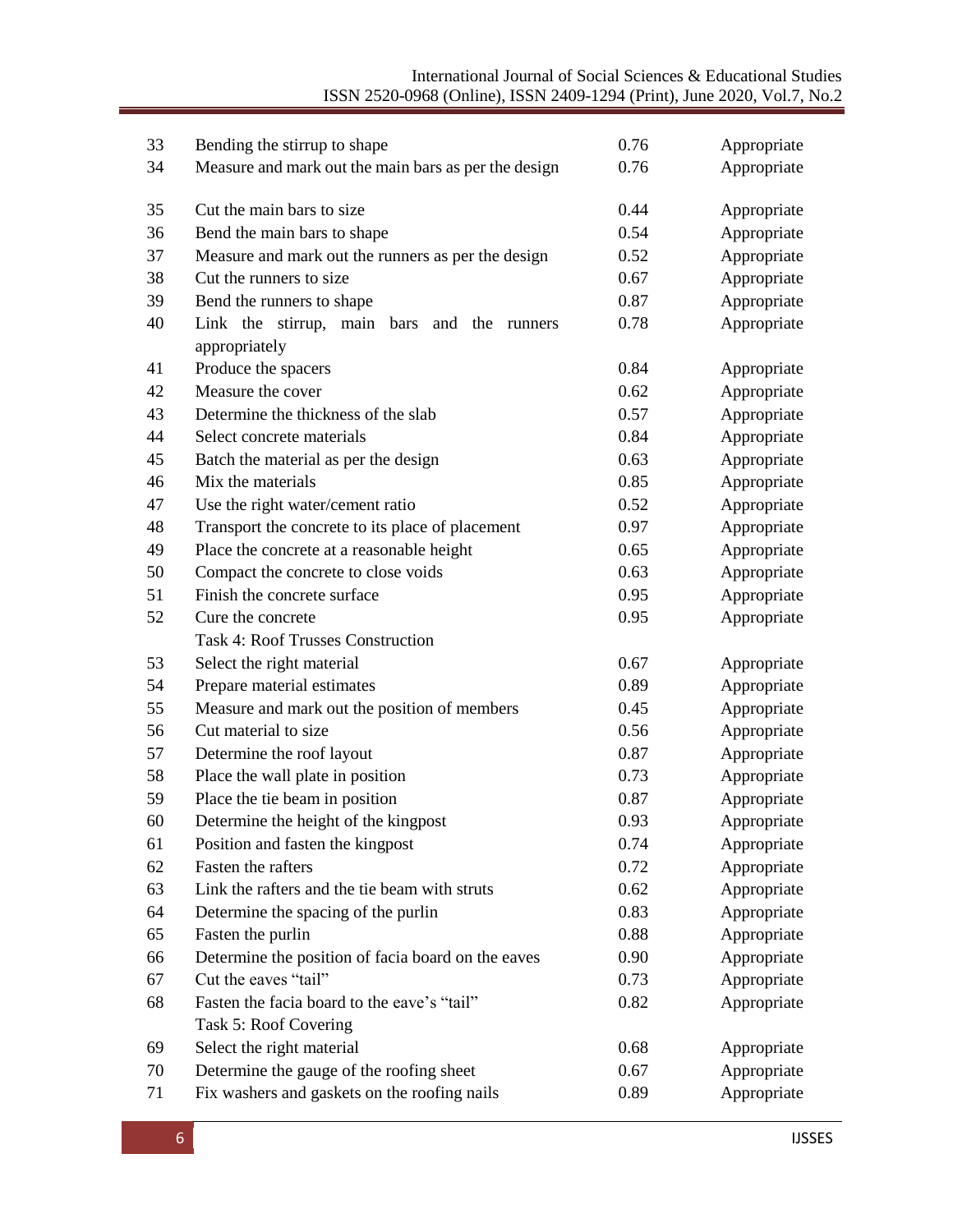| 33 | Bending the stirrup to shape                         | 0.76 | Appropriate |
|----|------------------------------------------------------|------|-------------|
| 34 | Measure and mark out the main bars as per the design | 0.76 | Appropriate |
|    |                                                      |      |             |
| 35 | Cut the main bars to size                            | 0.44 | Appropriate |
| 36 | Bend the main bars to shape                          | 0.54 | Appropriate |
| 37 | Measure and mark out the runners as per the design   | 0.52 | Appropriate |
| 38 | Cut the runners to size                              | 0.67 | Appropriate |
| 39 | Bend the runners to shape                            | 0.87 | Appropriate |
| 40 | Link the stirrup, main bars<br>and the<br>runners    | 0.78 | Appropriate |
|    | appropriately                                        |      |             |
| 41 | Produce the spacers                                  | 0.84 | Appropriate |
| 42 | Measure the cover                                    | 0.62 | Appropriate |
| 43 | Determine the thickness of the slab                  | 0.57 | Appropriate |
| 44 | Select concrete materials                            | 0.84 | Appropriate |
| 45 | Batch the material as per the design                 | 0.63 | Appropriate |
| 46 | Mix the materials                                    | 0.85 | Appropriate |
| 47 | Use the right water/cement ratio                     | 0.52 | Appropriate |
| 48 | Transport the concrete to its place of placement     | 0.97 | Appropriate |
| 49 | Place the concrete at a reasonable height            | 0.65 | Appropriate |
| 50 | Compact the concrete to close voids                  | 0.63 | Appropriate |
| 51 | Finish the concrete surface                          | 0.95 | Appropriate |
| 52 | Cure the concrete                                    | 0.95 | Appropriate |
|    | <b>Task 4: Roof Trusses Construction</b>             |      |             |
| 53 | Select the right material                            | 0.67 | Appropriate |
| 54 | Prepare material estimates                           | 0.89 | Appropriate |
| 55 | Measure and mark out the position of members         | 0.45 | Appropriate |
| 56 | Cut material to size                                 | 0.56 | Appropriate |
| 57 | Determine the roof layout                            | 0.87 | Appropriate |
| 58 | Place the wall plate in position                     | 0.73 | Appropriate |
| 59 | Place the tie beam in position                       | 0.87 | Appropriate |
| 60 | Determine the height of the kingpost                 | 0.93 | Appropriate |
| 61 | Position and fasten the kingpost                     | 0.74 | Appropriate |
| 62 | Fasten the rafters                                   | 0.72 | Appropriate |
| 63 | Link the rafters and the tie beam with struts        | 0.62 | Appropriate |
| 64 | Determine the spacing of the purlin                  | 0.83 | Appropriate |
| 65 | Fasten the purlin                                    | 0.88 | Appropriate |
| 66 | Determine the position of facia board on the eaves   | 0.90 | Appropriate |
| 67 | Cut the eaves "tail"                                 | 0.73 | Appropriate |
| 68 | Fasten the facia board to the eave's "tail"          | 0.82 | Appropriate |
|    | Task 5: Roof Covering                                |      |             |
| 69 | Select the right material                            | 0.68 | Appropriate |
| 70 | Determine the gauge of the roofing sheet             | 0.67 | Appropriate |
| 71 | Fix washers and gaskets on the roofing nails         | 0.89 | Appropriate |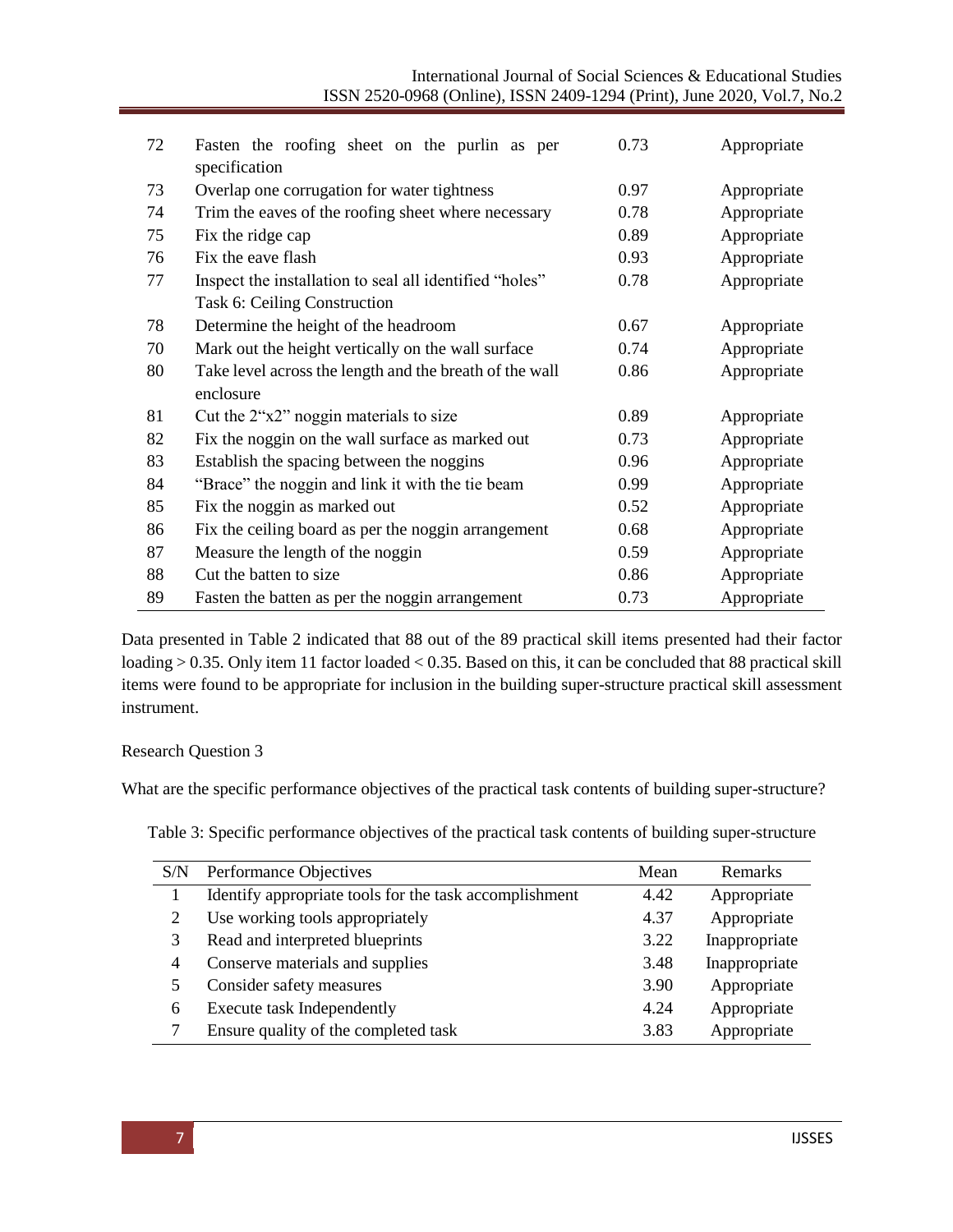| 72 | Fasten the roofing sheet on the purlin as per<br>specification | 0.73 | Appropriate |
|----|----------------------------------------------------------------|------|-------------|
| 73 | Overlap one corrugation for water tightness                    | 0.97 | Appropriate |
| 74 | Trim the eaves of the roofing sheet where necessary            | 0.78 | Appropriate |
| 75 | Fix the ridge cap                                              | 0.89 | Appropriate |
| 76 | Fix the eave flash                                             | 0.93 | Appropriate |
| 77 | Inspect the installation to seal all identified "holes"        | 0.78 | Appropriate |
|    | Task 6: Ceiling Construction                                   |      |             |
| 78 | Determine the height of the headroom                           | 0.67 | Appropriate |
| 70 | Mark out the height vertically on the wall surface             | 0.74 | Appropriate |
| 80 | Take level across the length and the breath of the wall        | 0.86 | Appropriate |
|    | enclosure                                                      |      |             |
| 81 | Cut the $2^{\circ}x2^{\circ}$ noggin materials to size         | 0.89 | Appropriate |
| 82 | Fix the noggin on the wall surface as marked out               | 0.73 | Appropriate |
| 83 | Establish the spacing between the noggins                      | 0.96 | Appropriate |
| 84 | "Brace" the noggin and link it with the tie beam               | 0.99 | Appropriate |
| 85 | Fix the noggin as marked out                                   | 0.52 | Appropriate |
| 86 | Fix the ceiling board as per the noggin arrangement            | 0.68 | Appropriate |
| 87 | Measure the length of the noggin                               | 0.59 | Appropriate |
| 88 | Cut the batten to size                                         | 0.86 | Appropriate |
| 89 | Fasten the batten as per the noggin arrangement                | 0.73 | Appropriate |

Data presented in Table 2 indicated that 88 out of the 89 practical skill items presented had their factor loading > 0.35. Only item 11 factor loaded < 0.35. Based on this, it can be concluded that 88 practical skill items were found to be appropriate for inclusion in the building super-structure practical skill assessment instrument.

#### Research Question 3

What are the specific performance objectives of the practical task contents of building super-structure?

Table 3: Specific performance objectives of the practical task contents of building super-structure

| S/N                                  | Performance Objectives                                 |      | <b>Remarks</b> |
|--------------------------------------|--------------------------------------------------------|------|----------------|
|                                      | Identify appropriate tools for the task accomplishment | 4.42 | Appropriate    |
| 2                                    | Use working tools appropriately                        | 4.37 | Appropriate    |
| 3                                    | Read and interpreted blueprints                        | 3.22 | Inappropriate  |
| Conserve materials and supplies<br>4 |                                                        | 3.48 | Inappropriate  |
| 5                                    | Consider safety measures                               |      | Appropriate    |
| 6                                    | <b>Execute task Independently</b>                      | 4.24 | Appropriate    |
|                                      | Ensure quality of the completed task                   | 3.83 | Appropriate    |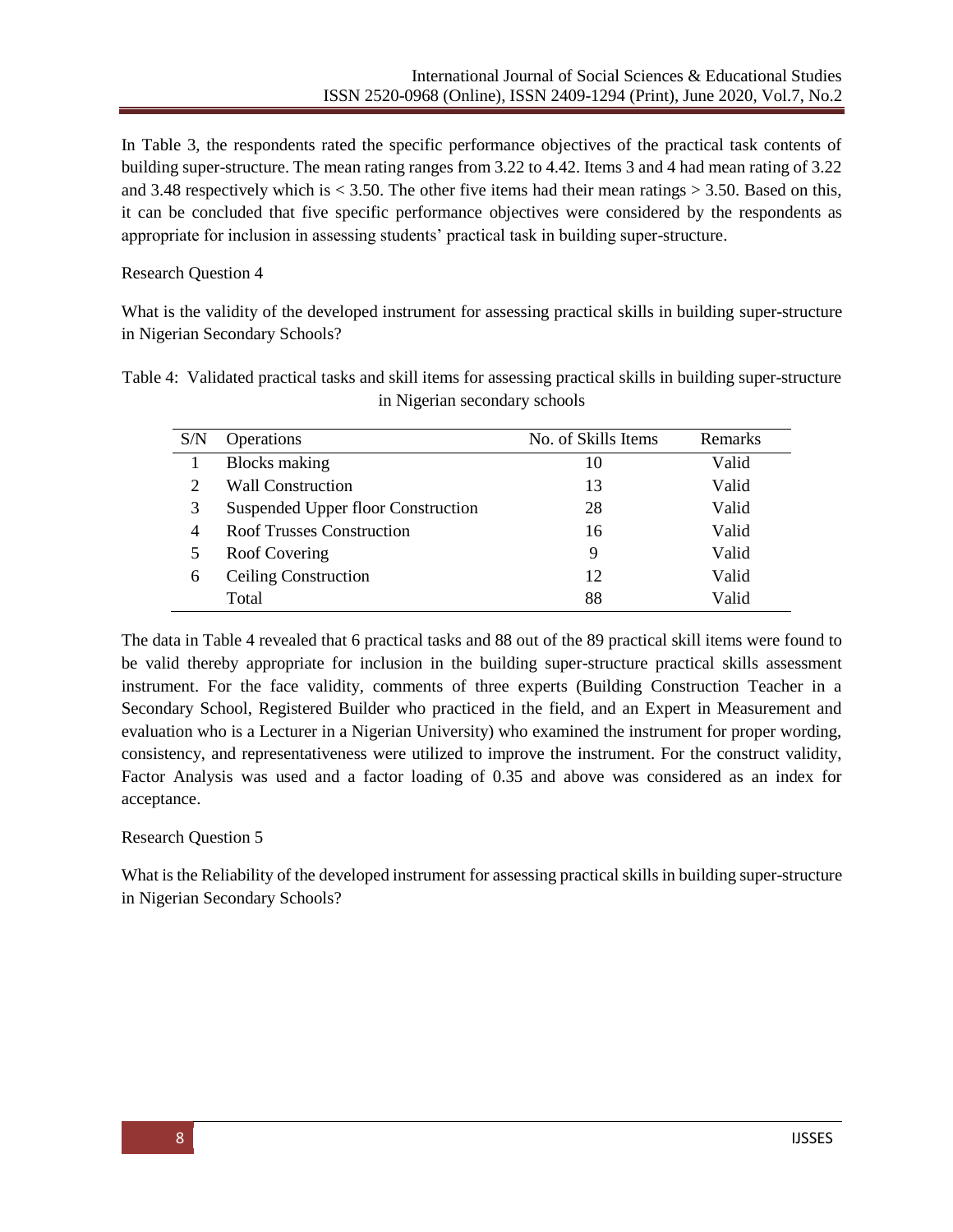In Table 3, the respondents rated the specific performance objectives of the practical task contents of building super-structure. The mean rating ranges from 3.22 to 4.42. Items 3 and 4 had mean rating of 3.22 and 3.48 respectively which is  $\lt$  3.50. The other five items had their mean ratings  $>$  3.50. Based on this, it can be concluded that five specific performance objectives were considered by the respondents as appropriate for inclusion in assessing students' practical task in building super-structure.

#### Research Question 4

What is the validity of the developed instrument for assessing practical skills in building super-structure in Nigerian Secondary Schools?

| Table 4: Validated practical tasks and skill items for assessing practical skills in building super-structure |
|---------------------------------------------------------------------------------------------------------------|
| in Nigerian secondary schools                                                                                 |

| S/N | Operations                         | No. of Skills Items | <b>Remarks</b> |
|-----|------------------------------------|---------------------|----------------|
|     | <b>Blocks</b> making               | 10                  | Valid          |
|     | <b>Wall Construction</b>           | 13                  | Valid          |
| 3   | Suspended Upper floor Construction | 28                  | Valid          |
| 4   | <b>Roof Trusses Construction</b>   | 16                  | Valid          |
|     | Roof Covering                      | 9                   | Valid          |
| 6   | <b>Ceiling Construction</b>        | 12                  | Valid          |
|     | Total                              | 88                  | Valid          |

The data in Table 4 revealed that 6 practical tasks and 88 out of the 89 practical skill items were found to be valid thereby appropriate for inclusion in the building super-structure practical skills assessment instrument. For the face validity, comments of three experts (Building Construction Teacher in a Secondary School, Registered Builder who practiced in the field, and an Expert in Measurement and evaluation who is a Lecturer in a Nigerian University) who examined the instrument for proper wording, consistency, and representativeness were utilized to improve the instrument. For the construct validity, Factor Analysis was used and a factor loading of 0.35 and above was considered as an index for acceptance.

# Research Question 5

What is the Reliability of the developed instrument for assessing practical skills in building super-structure in Nigerian Secondary Schools?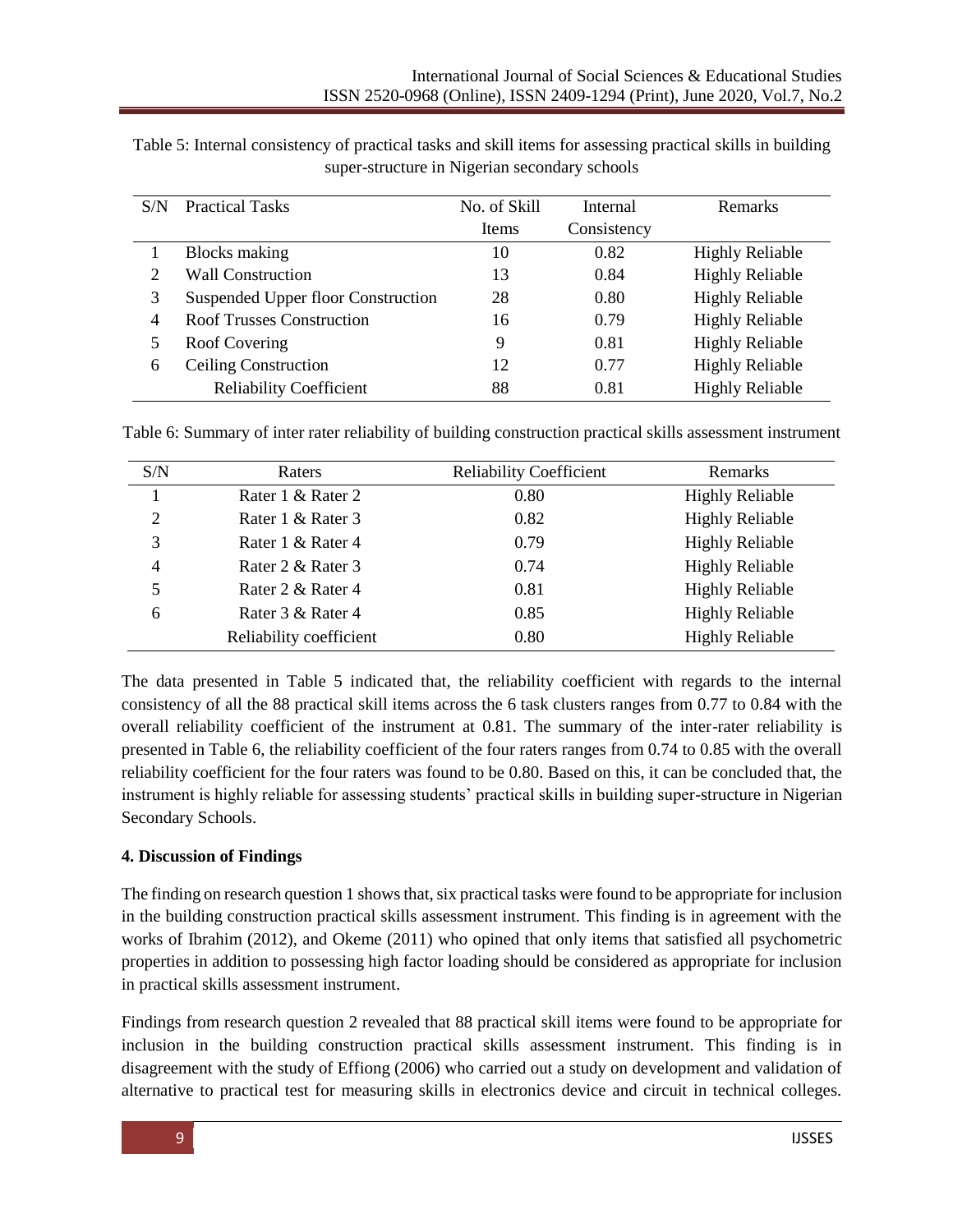| S/N | <b>Practical Tasks</b>             | No. of Skill | Internal    | <b>Remarks</b>         |
|-----|------------------------------------|--------------|-------------|------------------------|
|     |                                    | <b>Items</b> | Consistency |                        |
|     | Blocks making                      | 10           | 0.82        | <b>Highly Reliable</b> |
| 2   | <b>Wall Construction</b>           | 13           | 0.84        | <b>Highly Reliable</b> |
| 3   | Suspended Upper floor Construction | 28           | 0.80        | <b>Highly Reliable</b> |
| 4   | <b>Roof Trusses Construction</b>   | 16           | 0.79        | <b>Highly Reliable</b> |
| 5   | Roof Covering                      | 9            | 0.81        | <b>Highly Reliable</b> |
| 6   | <b>Ceiling Construction</b>        | 12           | 0.77        | <b>Highly Reliable</b> |
|     | <b>Reliability Coefficient</b>     | 88           | 0.81        | <b>Highly Reliable</b> |

Table 5: Internal consistency of practical tasks and skill items for assessing practical skills in building super-structure in Nigerian secondary schools

|  | Table 6: Summary of inter rater reliability of building construction practical skills assessment instrument |
|--|-------------------------------------------------------------------------------------------------------------|
|--|-------------------------------------------------------------------------------------------------------------|

| S/N            | Raters                  | <b>Reliability Coefficient</b> | <b>Remarks</b>         |
|----------------|-------------------------|--------------------------------|------------------------|
|                | Rater 1 & Rater 2       | 0.80                           | <b>Highly Reliable</b> |
| 2              | Rater 1 & Rater 3       | 0.82                           | <b>Highly Reliable</b> |
| 3              | Rater 1 & Rater 4       | 0.79                           | <b>Highly Reliable</b> |
| $\overline{4}$ | Rater 2 & Rater 3       | 0.74                           | <b>Highly Reliable</b> |
| 5              | Rater 2 & Rater 4       | 0.81                           | <b>Highly Reliable</b> |
| 6              | Rater 3 & Rater 4       | 0.85                           | <b>Highly Reliable</b> |
|                | Reliability coefficient | 0.80                           | <b>Highly Reliable</b> |

The data presented in Table 5 indicated that, the reliability coefficient with regards to the internal consistency of all the 88 practical skill items across the 6 task clusters ranges from 0.77 to 0.84 with the overall reliability coefficient of the instrument at 0.81. The summary of the inter-rater reliability is presented in Table 6, the reliability coefficient of the four raters ranges from 0.74 to 0.85 with the overall reliability coefficient for the four raters was found to be 0.80. Based on this, it can be concluded that, the instrument is highly reliable for assessing students' practical skills in building super-structure in Nigerian Secondary Schools.

# **4. Discussion of Findings**

The finding on research question 1 shows that, six practical tasks were found to be appropriate for inclusion in the building construction practical skills assessment instrument. This finding is in agreement with the works of Ibrahim (2012), and Okeme (2011) who opined that only items that satisfied all psychometric properties in addition to possessing high factor loading should be considered as appropriate for inclusion in practical skills assessment instrument.

Findings from research question 2 revealed that 88 practical skill items were found to be appropriate for inclusion in the building construction practical skills assessment instrument. This finding is in disagreement with the study of Effiong (2006) who carried out a study on development and validation of alternative to practical test for measuring skills in electronics device and circuit in technical colleges.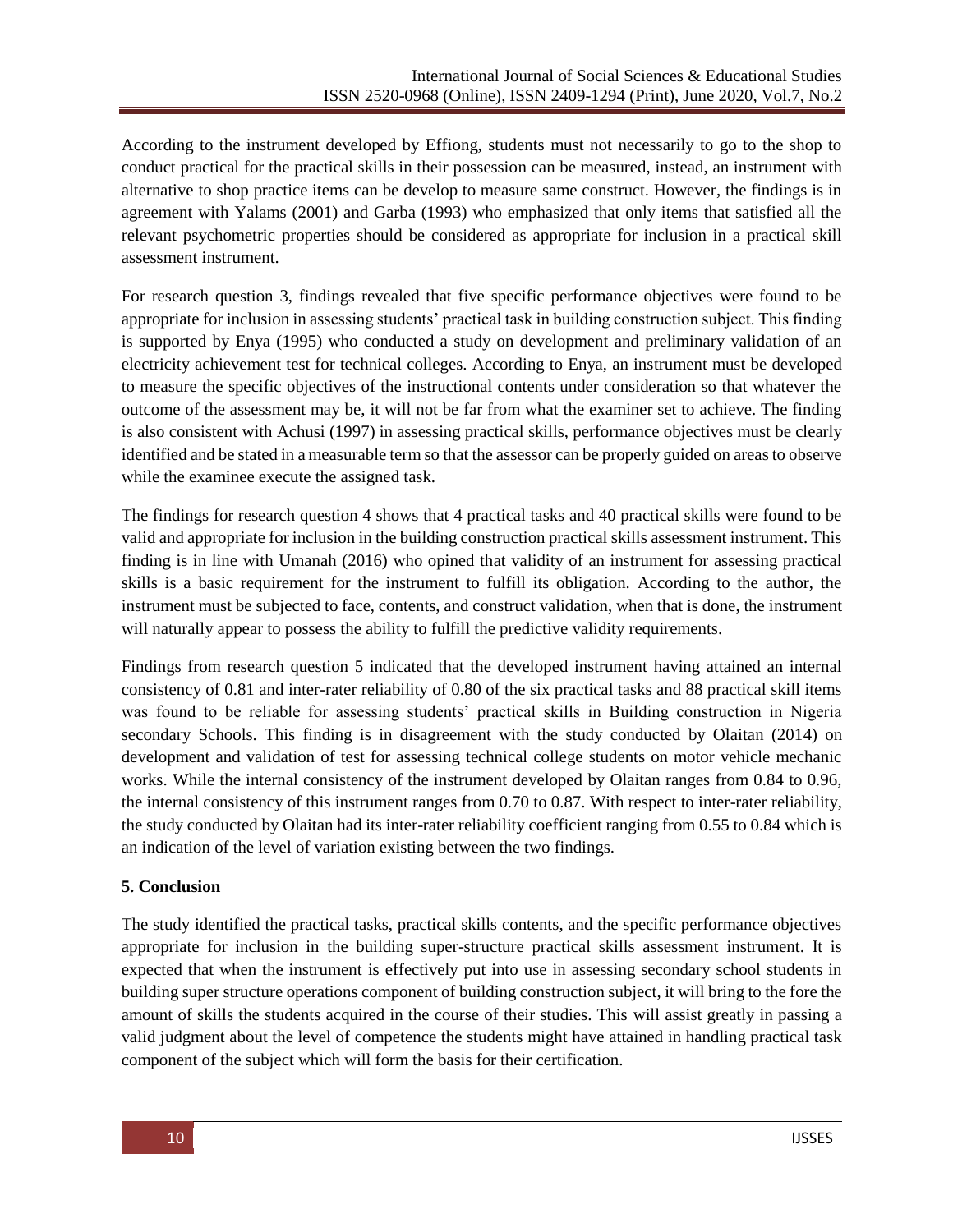According to the instrument developed by Effiong, students must not necessarily to go to the shop to conduct practical for the practical skills in their possession can be measured, instead, an instrument with alternative to shop practice items can be develop to measure same construct. However, the findings is in agreement with Yalams (2001) and Garba (1993) who emphasized that only items that satisfied all the relevant psychometric properties should be considered as appropriate for inclusion in a practical skill assessment instrument.

For research question 3, findings revealed that five specific performance objectives were found to be appropriate for inclusion in assessing students' practical task in building construction subject. This finding is supported by Enya (1995) who conducted a study on development and preliminary validation of an electricity achievement test for technical colleges. According to Enya, an instrument must be developed to measure the specific objectives of the instructional contents under consideration so that whatever the outcome of the assessment may be, it will not be far from what the examiner set to achieve. The finding is also consistent with Achusi (1997) in assessing practical skills, performance objectives must be clearly identified and be stated in a measurable term so that the assessor can be properly guided on areas to observe while the examinee execute the assigned task.

The findings for research question 4 shows that 4 practical tasks and 40 practical skills were found to be valid and appropriate for inclusion in the building construction practical skills assessment instrument. This finding is in line with Umanah (2016) who opined that validity of an instrument for assessing practical skills is a basic requirement for the instrument to fulfill its obligation. According to the author, the instrument must be subjected to face, contents, and construct validation, when that is done, the instrument will naturally appear to possess the ability to fulfill the predictive validity requirements.

Findings from research question 5 indicated that the developed instrument having attained an internal consistency of 0.81 and inter-rater reliability of 0.80 of the six practical tasks and 88 practical skill items was found to be reliable for assessing students' practical skills in Building construction in Nigeria secondary Schools. This finding is in disagreement with the study conducted by Olaitan (2014) on development and validation of test for assessing technical college students on motor vehicle mechanic works. While the internal consistency of the instrument developed by Olaitan ranges from 0.84 to 0.96, the internal consistency of this instrument ranges from 0.70 to 0.87. With respect to inter-rater reliability, the study conducted by Olaitan had its inter-rater reliability coefficient ranging from 0.55 to 0.84 which is an indication of the level of variation existing between the two findings.

# **5. Conclusion**

The study identified the practical tasks, practical skills contents, and the specific performance objectives appropriate for inclusion in the building super-structure practical skills assessment instrument. It is expected that when the instrument is effectively put into use in assessing secondary school students in building super structure operations component of building construction subject, it will bring to the fore the amount of skills the students acquired in the course of their studies. This will assist greatly in passing a valid judgment about the level of competence the students might have attained in handling practical task component of the subject which will form the basis for their certification.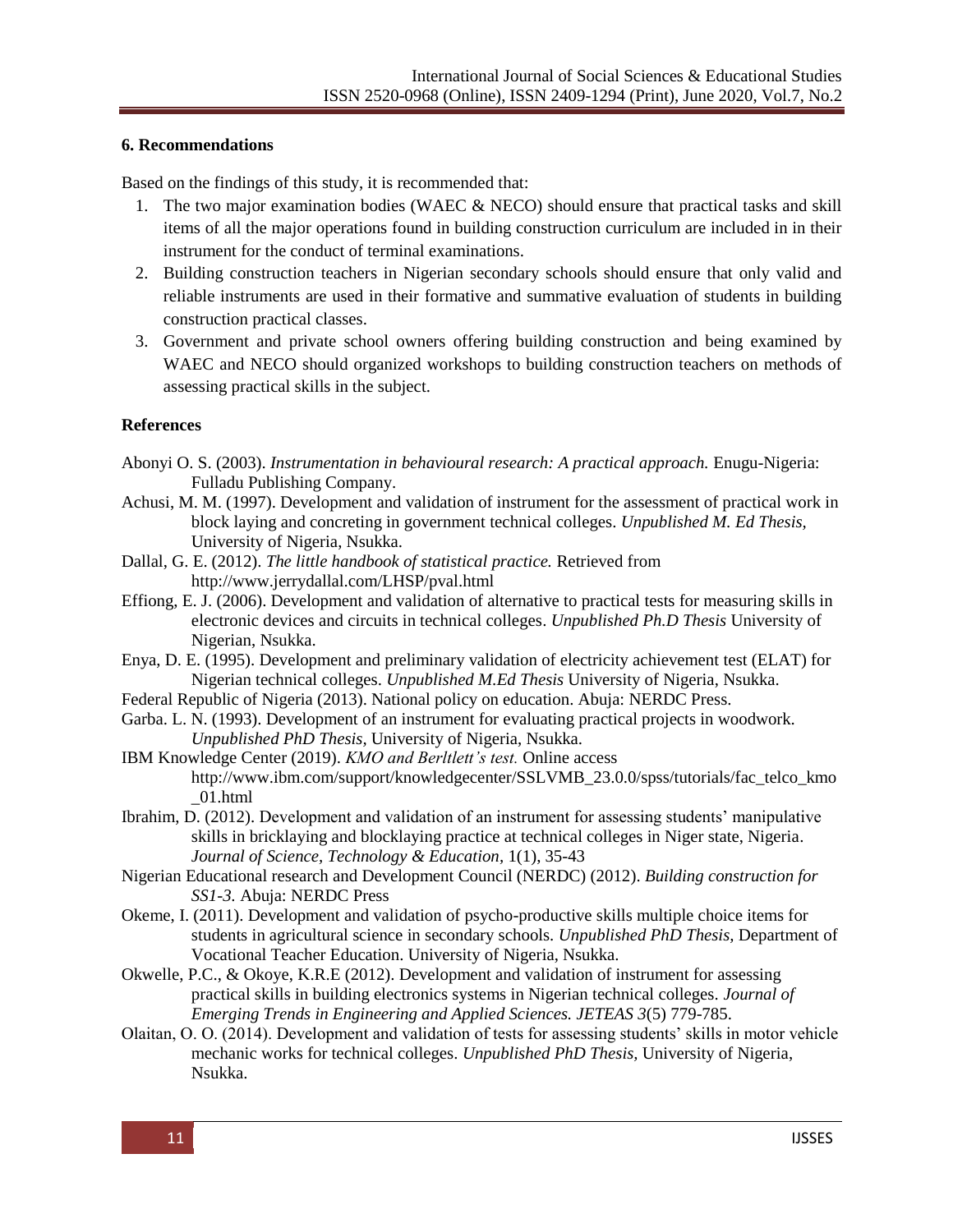#### **6. Recommendations**

Based on the findings of this study, it is recommended that:

- 1. The two major examination bodies (WAEC & NECO) should ensure that practical tasks and skill items of all the major operations found in building construction curriculum are included in in their instrument for the conduct of terminal examinations.
- 2. Building construction teachers in Nigerian secondary schools should ensure that only valid and reliable instruments are used in their formative and summative evaluation of students in building construction practical classes.
- 3. Government and private school owners offering building construction and being examined by WAEC and NECO should organized workshops to building construction teachers on methods of assessing practical skills in the subject.

#### **References**

- Abonyi O. S. (2003). *Instrumentation in behavioural research: A practical approach.* Enugu-Nigeria: Fulladu Publishing Company.
- Achusi, M. M. (1997). Development and validation of instrument for the assessment of practical work in block laying and concreting in government technical colleges. *Unpublished M. Ed Thesis,*  University of Nigeria, Nsukka.
- Dallal, G. E. (2012). *The little handbook of statistical practice.* Retrieved from <http://www.jerrydallal.com/LHSP/pval.html>
- Effiong, E. J. (2006). Development and validation of alternative to practical tests for measuring skills in electronic devices and circuits in technical colleges. *Unpublished Ph.D Thesis* University of Nigerian, Nsukka.
- Enya, D. E. (1995). Development and preliminary validation of electricity achievement test (ELAT) for Nigerian technical colleges. *Unpublished M.Ed Thesis* University of Nigeria, Nsukka.
- Federal Republic of Nigeria (2013). National policy on education. Abuja: NERDC Press.
- Garba. L. N. (1993). Development of an instrument for evaluating practical projects in woodwork. *Unpublished PhD Thesis,* University of Nigeria, Nsukka.
- IBM Knowledge Center (2019). *KMO and Berltlett's test.* Online access [http://www.ibm.com/support/knowledgecenter/SSLVMB\\_23.0.0/spss/tutorials/fac\\_telco\\_kmo](http://www.ibm.com/support/knowledgecenter/SSLVMB_23.0.0/spss/tutorials/fac_telco_kmo_01.html) [\\_01.html](http://www.ibm.com/support/knowledgecenter/SSLVMB_23.0.0/spss/tutorials/fac_telco_kmo_01.html)
- Ibrahim, D. (2012). Development and validation of an instrument for assessing students' manipulative skills in bricklaying and blocklaying practice at technical colleges in Niger state, Nigeria. *Journal of Science, Technology & Education,* 1(1), 35-43
- Nigerian Educational research and Development Council (NERDC) (2012). *Building construction for SS1-3.* Abuja: NERDC Press
- Okeme, I. (2011). Development and validation of psycho-productive skills multiple choice items for students in agricultural science in secondary schools*. Unpublished PhD Thesis,* Department of Vocational Teacher Education. University of Nigeria, Nsukka.
- Okwelle, P.C., & Okoye, K.R.E (2012). Development and validation of instrument for assessing practical skills in building electronics systems in Nigerian technical colleges. *Journal of Emerging Trends in Engineering and Applied Sciences. JETEAS 3*(5) 779-785.
- Olaitan, O. O. (2014). Development and validation of tests for assessing students' skills in motor vehicle mechanic works for technical colleges. *Unpublished PhD Thesis,* University of Nigeria, Nsukka.